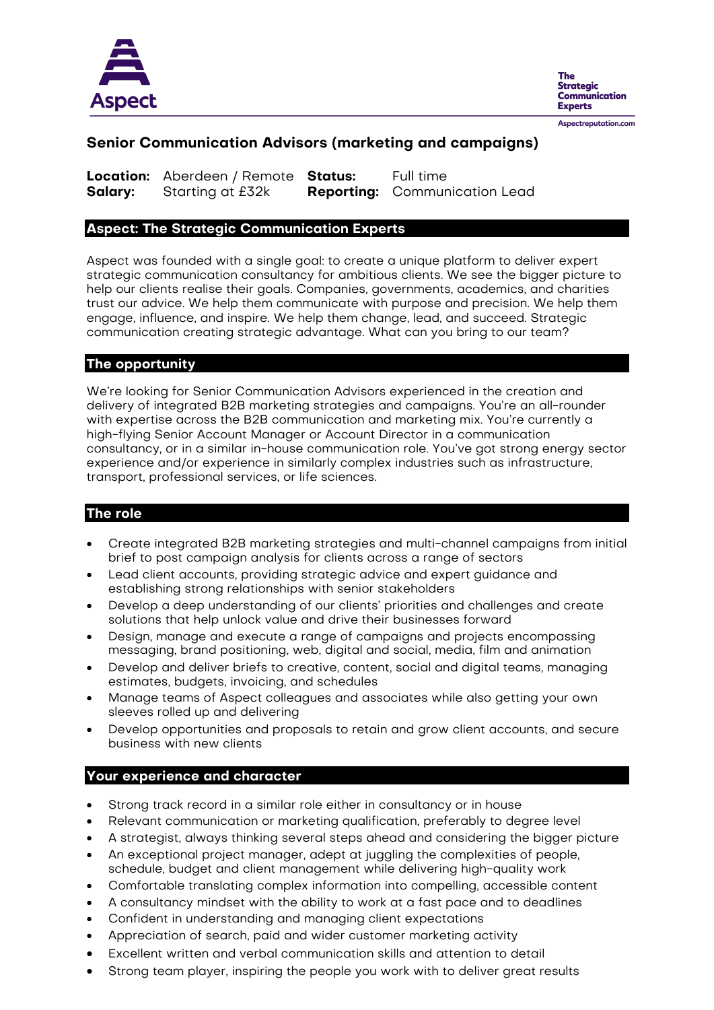

**The** Strategic **Communication Experts** Aspectreputation.com

## **Senior Communication Advisors (marketing and campaigns)**

**Location:** Aberdeen / Remote **Status:** Full time **Salary:** Starting at £32k **Reporting:** Communication Lead

#### **Aspect: The Strategic Communication Experts**

Aspect was founded with a single goal: to create a unique platform to deliver expert strategic communication consultancy for ambitious clients. We see the bigger picture to help our clients realise their goals. Companies, governments, academics, and charities trust our advice. We help them communicate with purpose and precision. We help them engage, influence, and inspire. We help them change, lead, and succeed. Strategic communication creating strategic advantage. What can you bring to our team?

#### **The opportunity**

We're looking for Senior Communication Advisors experienced in the creation and delivery of integrated B2B marketing strategies and campaigns. You're an all-rounder with expertise across the B2B communication and marketing mix. You're currently a high-flying Senior Account Manager or Account Director in a communication consultancy, or in a similar in-house communication role. You've got strong energy sector experience and/or experience in similarly complex industries such as infrastructure, transport, professional services, or life sciences.

## **The role**

- Create integrated B2B marketing strategies and multi-channel campaigns from initial brief to post campaign analysis for clients across a range of sectors
- Lead client accounts, providing strategic advice and expert guidance and establishing strong relationships with senior stakeholders
- Develop a deep understanding of our clients' priorities and challenges and create solutions that help unlock value and drive their businesses forward
- Design, manage and execute a range of campaigns and projects encompassing messaging, brand positioning, web, digital and social, media, film and animation
- Develop and deliver briefs to creative, content, social and digital teams, managing estimates, budgets, invoicing, and schedules
- Manage teams of Aspect colleagues and associates while also getting your own sleeves rolled up and delivering
- Develop opportunities and proposals to retain and grow client accounts, and secure business with new clients

#### **Your experience and character**

- Strong track record in a similar role either in consultancy or in house
- Relevant communication or marketing qualification, preferably to degree level
- A strategist, always thinking several steps ahead and considering the bigger picture
- An exceptional project manager, adept at juggling the complexities of people, schedule, budget and client management while delivering high-quality work
- Comfortable translating complex information into compelling, accessible content
- A consultancy mindset with the ability to work at a fast pace and to deadlines
- Confident in understanding and managing client expectations
- Appreciation of search, paid and wider customer marketing activity
- Excellent written and verbal communication skills and attention to detail
- Strong team player, inspiring the people you work with to deliver great results